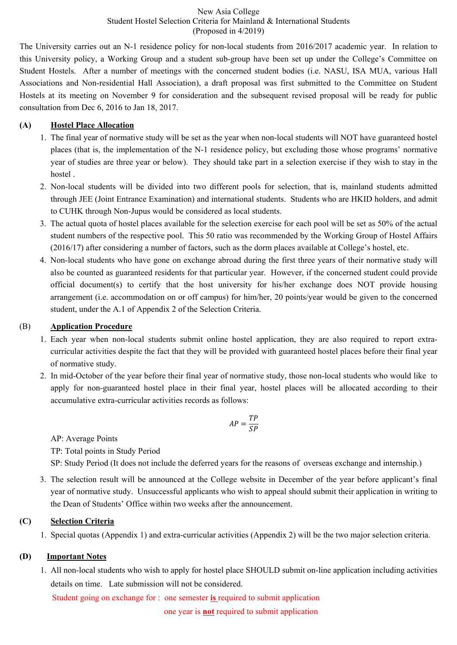New Asia College Student Hostel Selection Criteria for Mainland & International Students (Proposed in 4/2019)

The University carries out an N-1 residence policy for non-local students from 2016/2017 academic year. In relation to this University policy, a Working Group and a student sub-group have been set up under the College's Committee on Student Hostels. After a number of meetings with the concerned student bodies (i.e. NASU, ISA MUA, various Hall Associations and Non-residential Hall Association), a draft proposal was first submitted to the Committee on Student Hostels at its meeting on November 9 for consideration and the subsequent revised proposal will be ready for public consultation from Dec 6, 2016 to Jan 18, 2017.

#### **(A) Hostel Place Allocation**

- 1. The final year of normative study will be set as the year when non-local students will NOT have guaranteed hostel places (that is, the implementation of the N-1 residence policy, but excluding those whose programs' normative year of studies are three year or below). They should take part in a selection exercise if they wish to stay in the hostel .
- 2. Non-local students will be divided into two different pools for selection, that is, mainland students admitted through JEE (Joint Entrance Examination) and international students. Students who are HKID holders, and admit to CUHK through Non-Jupus would be considered as local students.
- 3. The actual quota of hostel places available for the selection exercise for each pool will be set as 50% of the actual student numbers of the respective pool. This 50 ratio was recommended by the Working Group of Hostel Affairs (2016/17) after considering a number of factors, such as the dorm places available at College's hostel, etc.
- 4. Non-local students who have gone on exchange abroad during the first three years of their normative study will also be counted as guaranteed residents for that particular year. However, if the concerned student could provide official document(s) to certify that the host university for his/her exchange does NOT provide housing arrangement (i.e. accommodation on or off campus) for him/her, 20 points/year would be given to the concerned student, under the A.1 of Appendix 2 of the Selection Criteria.

#### (B) **Application Procedure**

- 1. Each year when non-local students submit online hostel application, they are also required to report extracurricular activities despite the fact that they will be provided with guaranteed hostel places before their final year of normative study.
- 2. In mid-October of the year before their final year of normative study, those non-local students who would like to apply for non-guaranteed hostel place in their final year, hostel places will be allocated according to their accumulative extra-curricular activities records as follows:

$$
AP = \frac{TP}{SP}
$$

AP: Average Points

TP: Total points in Study Period

SP: Study Period (It does not include the deferred years for the reasons of overseas exchange and internship.)

3. The selection result will be announced at the College website in December of the year before applicant's final year of normative study. Unsuccessful applicants who wish to appeal should submit their application in writing to the Dean of Students' Office within two weeks after the announcement.

### **(C) Selection Criteria**

1. Special quotas (Appendix 1) and extra-curricular activities (Appendix 2) will be the two major selection criteria.

### **(D) Important Notes**

1. All non-local students who wish to apply for hostel place SHOULD submit on-line application including activities details on time. Late submission will not be considered.

Student going on exchange for : one semester **is** required to submit application

one year is **not** required to submit application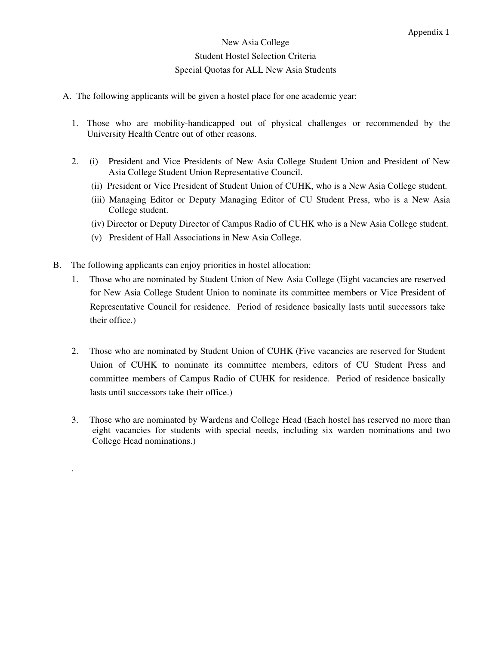### New Asia College Student Hostel Selection Criteria Special Quotas for ALL New Asia Students

- A. The following applicants will be given a hostel place for one academic year:
	- 1. Those who are mobility-handicapped out of physical challenges or recommended by the University Health Centre out of other reasons.
	- 2. (i) President and Vice Presidents of New Asia College Student Union and President of New Asia College Student Union Representative Council.
		- (ii) President or Vice President of Student Union of CUHK, who is a New Asia College student.
		- (iii) Managing Editor or Deputy Managing Editor of CU Student Press, who is a New Asia College student.
		- (iv) Director or Deputy Director of Campus Radio of CUHK who is a New Asia College student.
		- (v) President of Hall Associations in New Asia College.
- B. The following applicants can enjoy priorities in hostel allocation:

.

- 1. Those who are nominated by Student Union of New Asia College (Eight vacancies are reserved for New Asia College Student Union to nominate its committee members or Vice President of Representative Council for residence. Period of residence basically lasts until successors take their office.)
- 2. Those who are nominated by Student Union of CUHK (Five vacancies are reserved for Student Union of CUHK to nominate its committee members, editors of CU Student Press and committee members of Campus Radio of CUHK for residence. Period of residence basically lasts until successors take their office.)
- 3. Those who are nominated by Wardens and College Head (Each hostel has reserved no more than eight vacancies for students with special needs, including six warden nominations and two College Head nominations.)